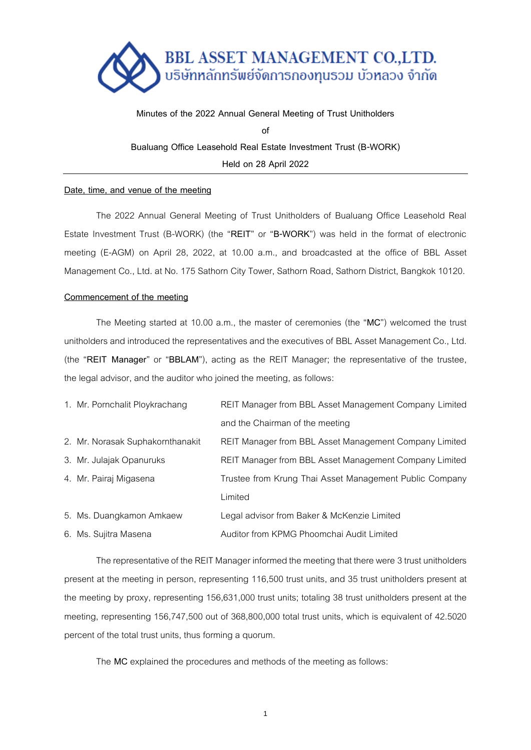

**Minutes of the 2022 Annual General Meeting of Trust Unitholders of Bualuang Office Leasehold Real Estate Investment Trust (B-WORK) Held on 28 April 2022**

## **Date, time, and venue of the meeting**

The 2022 Annual General Meeting of Trust Unitholders of Bualuang Office Leasehold Real Estate Investment Trust (B-WORK) (the "**REIT**" or "**B-WORK**") was held in the format of electronic meeting (E-AGM) on April 28, 2022, at 10.00 a.m., and broadcasted at the office of BBL Asset Management Co., Ltd. at No. 175 Sathorn City Tower, Sathorn Road, Sathorn District, Bangkok 10120.

# **Commencement of the meeting**

The Meeting started at 10.00 a.m., the master of ceremonies (the "**MC**") welcomed the trust unitholders and introduced the representatives and the executives of BBL Asset Management Co., Ltd. (the "**REIT Manager**" or "**BBLAM**"), acting as the REIT Manager; the representative of the trustee, the legal advisor, and the auditor who joined the meeting, as follows:

| 1. Mr. Pornchalit Ploykrachang   | REIT Manager from BBL Asset Management Company Limited  |  |
|----------------------------------|---------------------------------------------------------|--|
|                                  | and the Chairman of the meeting                         |  |
| 2. Mr. Norasak Suphakornthanakit | REIT Manager from BBL Asset Management Company Limited  |  |
| 3. Mr. Julajak Opanuruks         | REIT Manager from BBL Asset Management Company Limited  |  |
| 4. Mr. Pairaj Migasena           | Trustee from Krung Thai Asset Management Public Company |  |
|                                  | Limited                                                 |  |
| 5. Ms. Duangkamon Amkaew         | Legal advisor from Baker & McKenzie Limited             |  |
| 6. Ms. Suiitra Masena            | Auditor from KPMG Phoomchai Audit Limited               |  |

The representative of the REIT Manager informed the meeting that there were 3trust unitholders present at the meeting in person, representing 116,500 trust units, and 35 trust unitholders present at the meeting by proxy, representing 156,631,000 trust units; totaling 38 trust unitholders present at the meeting, representing 156,747,500 out of 368,800,000 total trust units, which is equivalent of 42.5020 percent of the total trust units, thus forming a quorum.

The **MC** explained the procedures and methods of the meeting as follows: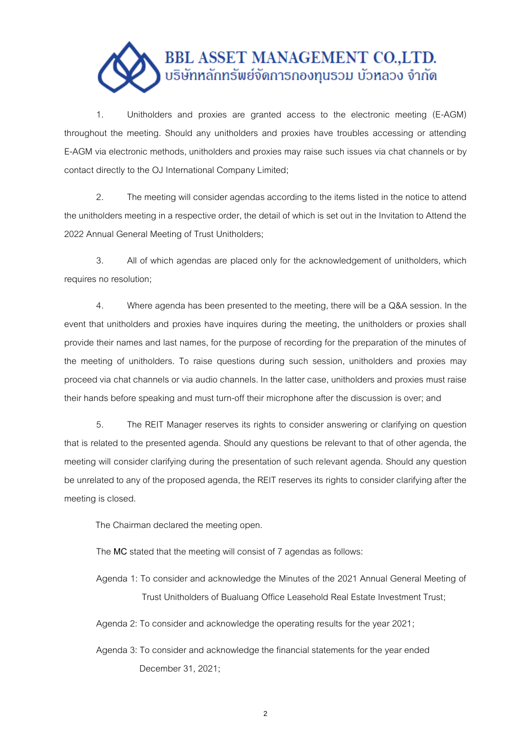

1. Unitholders and proxies are granted access to the electronic meeting (E-AGM) throughout the meeting. Should any unitholders and proxies have troubles accessing or attending E-AGM via electronic methods, unitholders and proxies may raise such issues via chat channels or by contact directly to the OJ International Company Limited;

2. The meeting will consider agendas according to the items listed in the notice to attend the unitholders meeting in a respective order, the detail of which is set out in the Invitation to Attend the 2022 Annual General Meeting of Trust Unitholders;

3. All of which agendas are placed only for the acknowledgement of unitholders, which requires no resolution;

4. Where agenda has been presented to the meeting, there will be a Q&A session. In the event that unitholders and proxies have inquires during the meeting, the unitholders or proxies shall provide their names and last names, for the purpose of recording for the preparation of the minutes of the meeting of unitholders. To raise questions during such session, unitholders and proxies may proceed via chat channels or via audio channels. In the latter case, unitholders and proxies must raise their hands before speaking and must turn-off their microphone after the discussion is over; and

5. The REIT Manager reserves its rights to consider answering or clarifying on question that is related to the presented agenda. Should any questions be relevant to that of other agenda, the meeting will consider clarifying during the presentation of such relevant agenda. Should any question be unrelated to any of the proposed agenda, the REIT reserves its rights to consider clarifying after the meeting is closed.

The Chairman declared the meeting open.

The **MC** stated that the meeting will consist of 7 agendas as follows:

- Agenda 1: To consider and acknowledge the Minutes of the 2021 Annual General Meeting of Trust Unitholders of Bualuang Office Leasehold Real Estate Investment Trust;
- Agenda 2: To consider and acknowledge the operating results for the year 2021;
- Agenda 3: To consider and acknowledge the financial statements for the year ended December 31, 2021;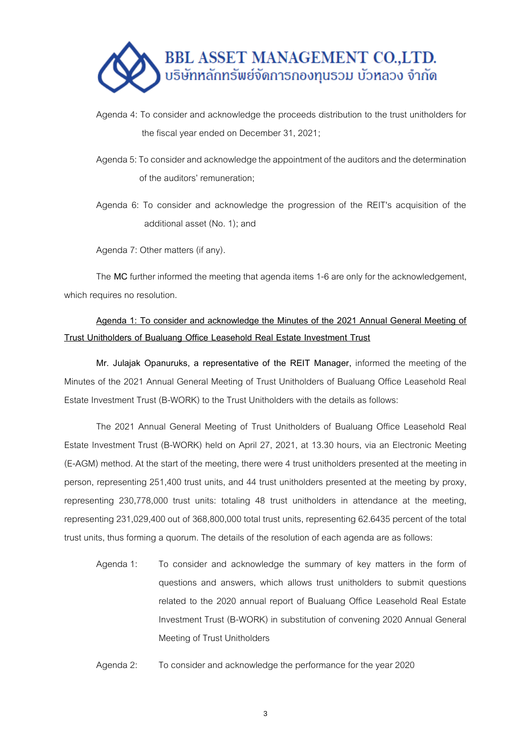

- Agenda 4: To consider and acknowledge the proceeds distribution to the trust unitholders for the fiscal year ended on December 31, 2021;
- Agenda 5: To consider and acknowledge the appointment of the auditors and the determination of the auditors' remuneration;

Agenda 6: To consider and acknowledge the progression of the REIT's acquisition of the additional asset (No. 1); and

Agenda 7: Other matters (if any).

The MC further informed the meeting that agenda items 1-6 are only for the acknowledgement, which requires no resolution.

# **Agenda 1: To consider and acknowledge the Minutes of the 2021 Annual General Meeting of Trust Unitholders of Bualuang Office Leasehold Real Estate Investment Trust**

**Mr. Julajak Opanuruks, a representative of the REIT Manager,** informed the meeting of the Minutes of the 2021 Annual General Meeting of Trust Unitholders of Bualuang Office Leasehold Real Estate Investment Trust (B-WORK) to the Trust Unitholders with the details as follows:

The 2021 Annual General Meeting of Trust Unitholders of Bualuang Office Leasehold Real Estate Investment Trust (B-WORK) held on April 27, 2021, at 13.30 hours, via an Electronic Meeting (E-AGM) method. At the start of the meeting, there were 4 trust unitholders presented at the meeting in person, representing 251,400 trust units, and 44 trust unitholders presented at the meeting by proxy, representing 230,778,000 trust units: totaling 48 trust unitholders in attendance at the meeting, representing 231,029,400 out of 368,800,000 total trust units, representing 62.6435 percent of the total trust units, thus forming a quorum. The details of the resolution of each agenda are as follows:

- Agenda 1: To consider and acknowledge the summary of key matters in the form of questions and answers, which allows trust unitholders to submit questions related to the 2020 annual report of Bualuang Office Leasehold Real Estate Investment Trust (B-WORK) in substitution of convening 2020 Annual General Meeting of Trust Unitholders
- Agenda 2: To consider and acknowledge the performance for the year 2020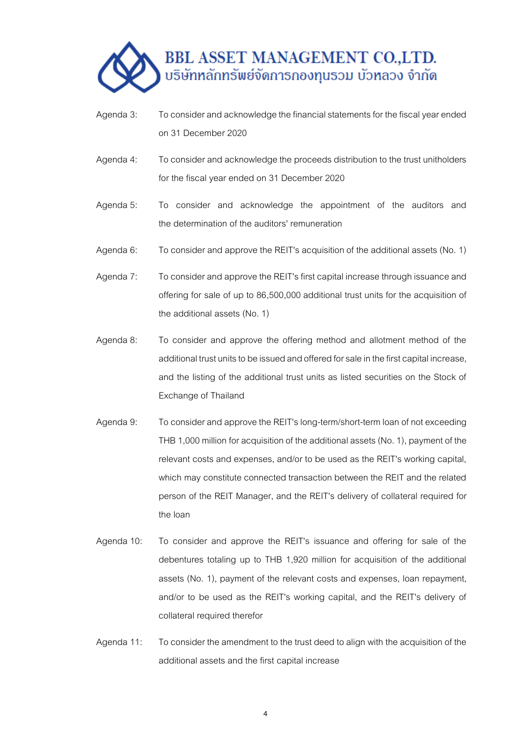

- Agenda 3: To consider and acknowledge the financial statements for the fiscal year ended on 31 December 2020
- Agenda 4: To consider and acknowledge the proceeds distribution to the trust unitholders for the fiscal year ended on 31 December 2020
- Agenda 5: To consider and acknowledge the appointment of the auditors and the determination of the auditors' remuneration
- Agenda 6: To consider and approve the REIT's acquisition of the additional assets (No. 1)
- Agenda 7: To consider and approve the REIT's first capital increase through issuance and offering for sale of up to 86,500,000 additional trust units for the acquisition of the additional assets (No. 1)
- Agenda 8: To consider and approve the offering method and allotment method of the additional trust units to be issued and offered for sale in the first capital increase, and the listing of the additional trust units as listed securities on the Stock of Exchange of Thailand
- Agenda 9: To consider and approve the REIT's long-term/short-term loan of not exceeding THB 1,000 million for acquisition of the additional assets (No. 1), payment of the relevant costs and expenses, and/or to be used as the REIT's working capital, which may constitute connected transaction between the REIT and the related person of the REIT Manager, and the REIT's delivery of collateral required for the loan
- Agenda 10: To consider and approve the REIT's issuance and offering for sale of the debentures totaling up to THB 1,920 million for acquisition of the additional assets (No. 1), payment of the relevant costs and expenses, loan repayment, and/or to be used as the REIT's working capital, and the REIT's delivery of collateral required therefor
- Agenda 11: To consider the amendment to the trust deed to align with the acquisition of the additional assets and the first capital increase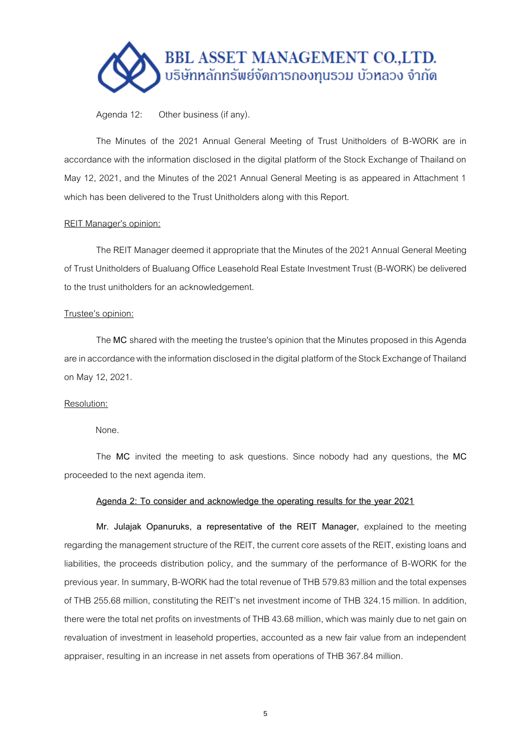

Agenda 12: Other business (if any).

The Minutes of the 2021 Annual General Meeting of Trust Unitholders of B-WORK are in accordance with the information disclosed in the digital platform of the Stock Exchange of Thailand on May 12, 2021, and the Minutes of the 2021 Annual General Meeting is as appeared in Attachment 1 which has been delivered to the Trust Unitholders along with this Report.

# REIT Manager's opinion:

The REIT Manager deemed it appropriate that the Minutes of the 2021 Annual General Meeting of Trust Unitholders of Bualuang Office Leasehold Real Estate Investment Trust (B-WORK) be delivered to the trust unitholders for an acknowledgement.

## Trustee's opinion:

The **MC** shared with the meeting the trustee's opinion that the Minutes proposed in this Agenda are in accordance with the information disclosed in the digital platform of the Stock Exchange of Thailand on May 12, 2021.

# Resolution:

None.

The **MC** invited the meeting to ask questions. Since nobody had any questions, the **MC**  proceeded to the next agenda item.

## **Agenda 2: To consider and acknowledge the operating results for the year 2021**

**Mr. Julajak Opanuruks, a representative of the REIT Manager,** explained to the meeting regarding the management structure of the REIT, the current core assets of the REIT, existing loans and liabilities, the proceeds distribution policy, and the summary of the performance of B-WORK for the previous year. In summary, B-WORK had the total revenue of THB 579.83 millionand the total expenses of THB 255.68 million, constituting the REIT's net investment income of THB 324.15 million. In addition, there were the total net profits on investments of THB 43.68 million, which was mainly due to net gain on revaluation of investment in leasehold properties, accounted as a new fair value from an independent appraiser, resulting in an increase in net assets from operations of THB 367.84 million.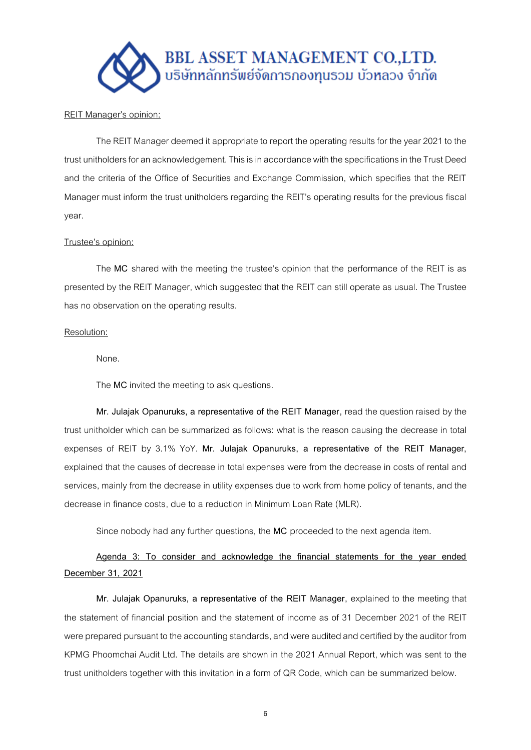

## REIT Manager's opinion:

The REIT Manager deemed it appropriate to report the operating results for the year 2021 to the trust unitholders for an acknowledgement. This is in accordance with the specifications in the Trust Deed and the criteria of the Office of Securities and Exchange Commission, which specifies that the REIT Manager must inform the trust unitholders regarding the REIT's operating results for the previous fiscal year.

# Trustee's opinion:

The **MC** shared with the meeting the trustee's opinion that the performance of the REIT is as presented by the REIT Manager, which suggested that the REIT can still operate as usual. The Trustee has no observation on the operating results.

## Resolution:

None.

The **MC** invited the meeting to ask questions.

**Mr. Julajak Opanuruks, a representative of the REIT Manager,** read the question raised by the trust unitholder which can be summarized as follows: what is the reason causing the decrease in total expenses of REIT by 3.1% YoY. **Mr. Julajak Opanuruks, a representative of the REIT Manager,**  explained that the causes of decrease in total expenses were from the decrease in costs of rental and services, mainly from the decrease in utility expenses due to work from home policy of tenants, and the decrease in finance costs, due to a reduction in Minimum Loan Rate (MLR).

Since nobody had any further questions, the **MC** proceeded to the next agenda item.

# **Agenda 3: To consider and acknowledge the financial statements for the year ended December 31, 2021**

**Mr. Julajak Opanuruks, a representative of the REIT Manager,** explained to the meeting that the statement of financial position and the statement of income as of 31 December 2021 of the REIT were prepared pursuant to the accounting standards, and were audited and certified by the auditor from KPMG Phoomchai Audit Ltd. The details are shown in the 2021 Annual Report, which was sent to the trust unitholders together with this invitation in a form of QR Code, which can be summarized below.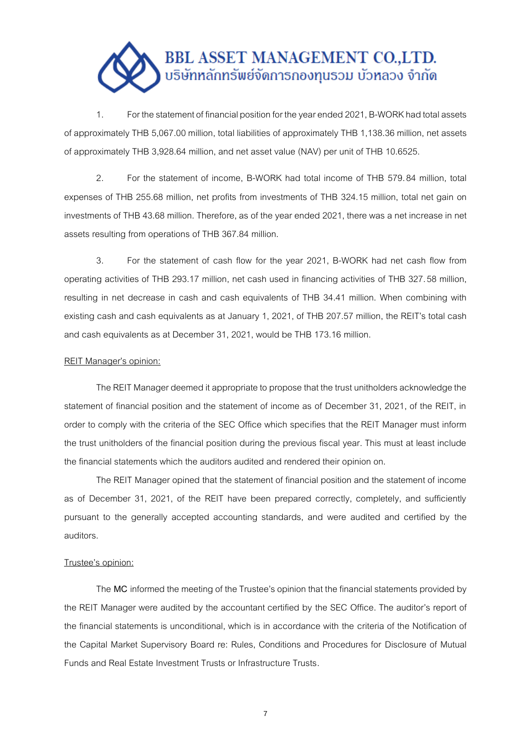

1. For the statement of financial position for the year ended 2021, B-WORK had total assets of approximately THB 5,067.00 million, total liabilities of approximately THB 1,138.36 million, net assets of approximately THB 3,928.64 million, and net asset value (NAV) per unit of THB 10.6525.

2. For the statement of income, B-WORK had total income of THB 579.84 million, total expenses of THB 255.68 million, net profits from investments of THB 324.15 million, total net gain on investments ofTHB 43.68 million. Therefore, as of the year ended 2021, there was a net increase in net assets resulting from operations of THB 367.84 million.

3. For the statement of cash flow for the year 2021, B-WORK had net cash flow from operating activities of THB 293.17 million, net cash used in financing activities of THB 327.58 million, resulting in net decrease in cash and cash equivalents of THB 34.41 million. When combining with existing cash and cash equivalents as at January 1, 2021, of THB 207.57 million, the REIT's total cash and cash equivalents as at December 31, 2021, would be THB 173.16 million.

## REIT Manager's opinion:

The REIT Manager deemed it appropriate to propose that the trust unitholders acknowledge the statement of financial position and the statement of income as of December 31, 2021, of the REIT, in order to comply with the criteria of the SEC Office which specifies that the REIT Manager must inform the trust unitholders of the financial position during the previous fiscal year. This must at least include the financial statements which the auditors audited and rendered their opinion on.

The REIT Manager opined that the statement of financial position and the statement of income as of December 31, 2021, of the REIT have been prepared correctly, completely, and sufficiently pursuant to the generally accepted accounting standards, and were audited and certified by the auditors.

## Trustee's opinion:

The **MC** informed the meeting of the Trustee's opinion that the financial statements provided by the REIT Manager were audited by the accountant certified by the SEC Office. The auditor's report of the financial statements is unconditional, which is in accordance with the criteria of the Notification of the Capital Market Supervisory Board re: Rules, Conditions and Procedures for Disclosure of Mutual Funds and Real Estate Investment Trusts or Infrastructure Trusts.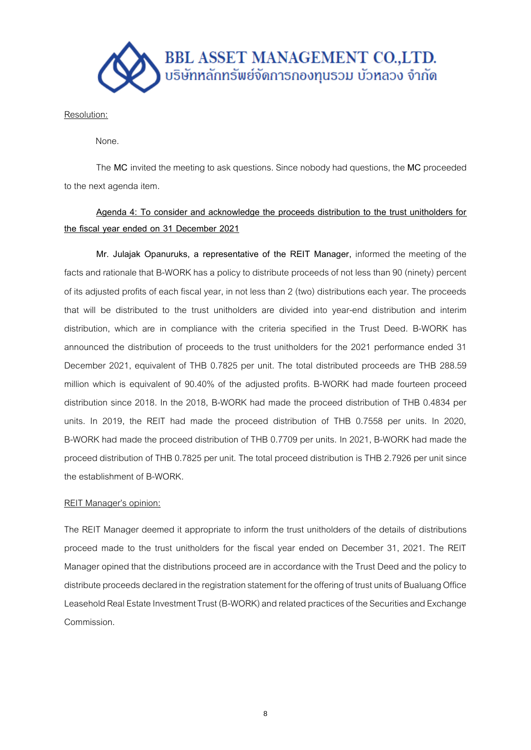

Resolution:

None.

The **MC** invited the meeting to ask questions. Since nobody had questions, the **MC** proceeded to the next agenda item.

# **Agenda 4: To consider and acknowledge the proceeds distribution to the trust unitholders for the fiscal year ended on 31 December 2021**

**Mr. Julajak Opanuruks, a representative of the REIT Manager,** informed the meeting of the facts and rationale that B-WORK has a policy to distribute proceeds of not less than 90 (ninety) percent of its adjusted profits of each fiscal year, in not less than 2 (two) distributions each year. The proceeds that will be distributed to the trust unitholders are divided into year-end distribution and interim distribution, which are in compliance with the criteria specified in the Trust Deed. B-WORK has announced the distribution of proceeds to the trust unitholders for the 2021 performance ended 31 December 2021, equivalent of THB 0.7825 per unit. The total distributed proceeds are THB 288.59 million which is equivalent of 90.40% of the adjusted profits. B-WORK had made fourteen proceed distribution since 2018. In the 2018, B-WORK had made the proceed distribution of THB 0.4834 per units. In 2019, the REIT had made the proceed distribution of THB 0.7558 per units. In 2020, B-WORK had made the proceed distribution of THB 0.7709 per units. In 2021, B-WORK had made the proceed distribution of THB 0.7825 per unit. The total proceed distribution is THB 2.7926 per unit since the establishment of B-WORK.

# REIT Manager's opinion:

The REIT Manager deemed it appropriate to inform the trust unitholders of the details of distributions proceed made to the trust unitholders for the fiscal year ended on December 31, 2021. The REIT Manager opined that the distributions proceed are in accordance with the Trust Deed and the policy to distribute proceeds declared in the registration statement for the offering of trust units of Bualuang Office Leasehold Real Estate Investment Trust (B-WORK) and related practices of the Securities and Exchange Commission.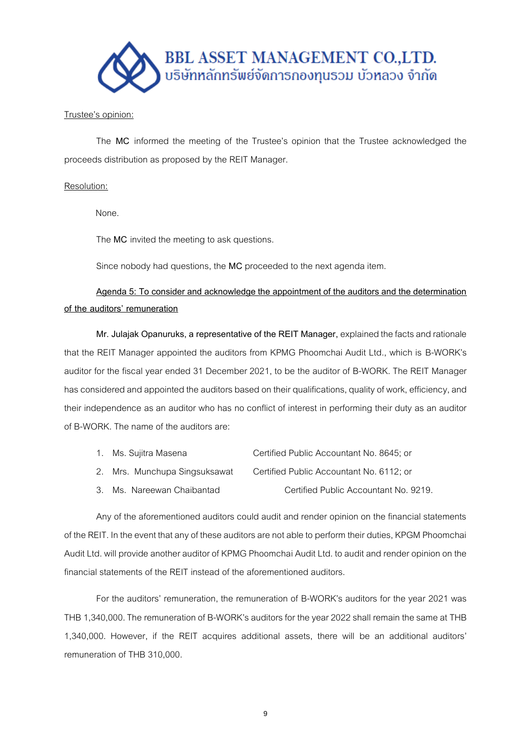

# Trustee's opinion:

The **MC** informed the meeting of the Trustee's opinion that the Trustee acknowledged the proceeds distribution as proposed by the REIT Manager.

# Resolution:

None.

The **MC** invited the meeting to ask questions.

Since nobody had questions, the **MC** proceeded to the next agenda item.

**Agenda 5: To consider and acknowledge the appointment of the auditors and the determination of the auditors' remuneration**

**Mr. Julajak Opanuruks, a representative of the REIT Manager,**explained the facts and rationale that the REIT Manager appointed the auditors from KPMG Phoomchai Audit Ltd., which is B-WORK's auditor for the fiscal year ended 31 December 2021, to be the auditor of B-WORK. The REIT Manager has considered and appointed the auditors based on their qualifications, quality of work, efficiency, and their independence as an auditor who has no conflict of interest in performing their duty as an auditor of B-WORK. The name of the auditors are:

| Ms. Sujitra Masena | Certified Public Accountant No. 8645; or |
|--------------------|------------------------------------------|
|                    |                                          |

- 2. Mrs. Munchupa Singsuksawat Certified Public Accountant No. 6112; or
- 3. Ms. Nareewan Chaibantad Certified Public Accountant No. 9219.

Any of the aforementioned auditors could audit and render opinion on the financial statements of the REIT. In the event that any of these auditors are not able to perform their duties, KPGM Phoomchai Audit Ltd. will provide another auditor of KPMG Phoomchai Audit Ltd. to audit and render opinion on the financial statements of the REIT instead of the aforementioned auditors.

For the auditors' remuneration, the remuneration of B-WORK's auditors for the year 2021 was THB 1,340,000. The remuneration of B-WORK's auditors for the year 2022 shall remain the same at THB 1,340,000. However, if the REIT acquires additional assets, there will be an additional auditors' remuneration of THB 310,000.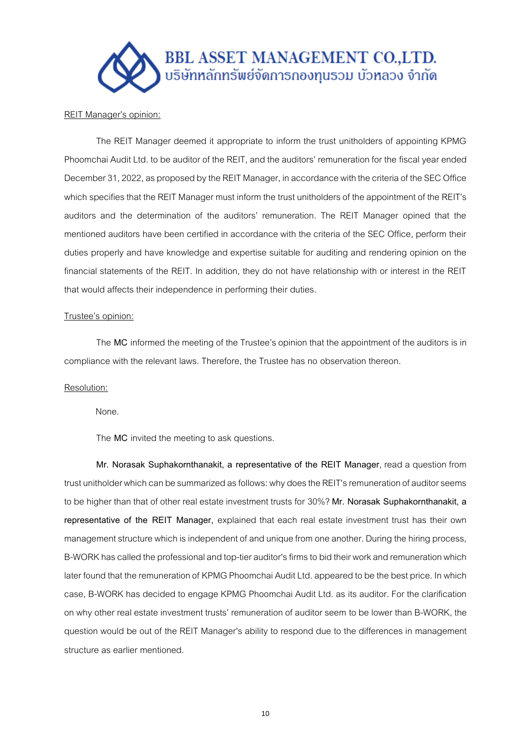

## REIT Manager's opinion:

The REIT Manager deemed it appropriate to inform the trust unitholders of appointing KPMG Phoomchai Audit Ltd. to be auditor of the REIT, and the auditors' remuneration for the fiscal year ended December 31, 2022, as proposed by the REIT Manager, in accordance with the criteria of the SEC Office which specifies that the REIT Manager must inform the trust unitholders of the appointment of the REIT's auditors and the determination of the auditors' remuneration. The REIT Manager opined that the mentioned auditors have been certified in accordance with the criteria of the SEC Office, perform their duties properly and have knowledge and expertise suitable for auditing and rendering opinion on the financial statements of the REIT. In addition, they do not have relationship with or interest in the REIT that would affects their independence in performing their duties.

# Trustee's opinion:

The **MC** informed the meeting of the Trustee's opinion that the appointment of the auditors is in compliance with the relevant laws. Therefore, the Trustee has no observation thereon.

#### Resolution:

None.

The **MC** invited the meeting to ask questions.

**Mr. Norasak Suphakornthanakit, a representative of the REIT Manager**, read a question from trust unitholder which can be summarized as follows: why does the REIT's remuneration of auditor seems to be higher than that of other real estate investment trusts for 30%? **Mr. Norasak Suphakornthanakit, a representative of the REIT Manager,** explained that each real estate investment trust has their own management structure which is independent of and unique from one another. During the hiring process, B-WORK has called the professional and top-tier auditor's firms to bid their work and remuneration which later found that the remuneration of KPMG Phoomchai Audit Ltd. appeared to be the best price. In which case, B-WORK has decided to engage KPMG Phoomchai Audit Ltd. as its auditor. For the clarification on why other real estate investment trusts' remuneration of auditor seem to be lower than B-WORK, the question would be out of the REIT Manager's ability to respond due to the differences in management structure as earlier mentioned.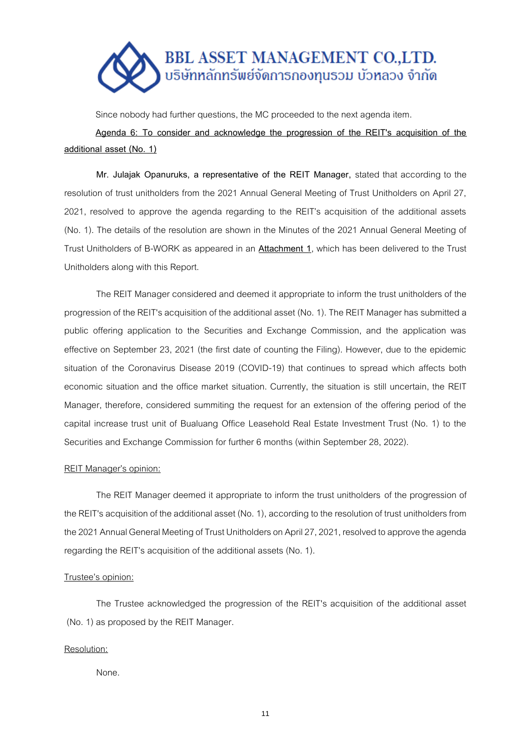

Since nobody had further questions, the MC proceeded to the next agenda item.

**Agenda 6: To consider and acknowledge the progression of the REIT's acquisition of the additional asset (No. 1)**

**Mr. Julajak Opanuruks, a representative of the REIT Manager,** stated that according to the resolution of trust unitholders from the 2021 Annual General Meeting of Trust Unitholders on April 27, 2021, resolved to approve the agenda regarding to the REIT's acquisition of the additional assets (No. 1). The details of the resolution are shown in the Minutes of the 2021 Annual General Meeting of Trust Unitholders of B-WORK as appeared in an **Attachment 1**, which has been delivered to the Trust Unitholders along with this Report.

The REIT Manager considered and deemed it appropriate to inform the trust unitholders of the progression of the REIT's acquisition of the additional asset (No. 1). The REIT Manager has submitted a public offering application to the Securities and Exchange Commission, and the application was effective on September 23, 2021 (the first date of counting the Filing). However, due to the epidemic situation of the Coronavirus Disease 2019 (COVID-19) that continues to spread which affects both economic situation and the office market situation. Currently, the situation is still uncertain, the REIT Manager, therefore, considered summiting the request for an extension of the offering period of the capital increase trust unit of Bualuang Office Leasehold Real Estate Investment Trust (No. 1) to the Securities and Exchange Commission for further 6 months (within September 28, 2022).

## REIT Manager's opinion:

The REIT Manager deemed it appropriate to inform the trust unitholders of the progression of the REIT's acquisition of the additional asset (No. 1), according to the resolution of trust unitholders from the 2021 Annual General Meeting of Trust Unitholders on April 27, 2021, resolved to approve the agenda regarding the REIT's acquisition of the additional assets (No. 1).

## Trustee's opinion:

The Trustee acknowledged the progression of the REIT's acquisition of the additional asset (No. 1) as proposed by the REIT Manager.

## Resolution:

None.